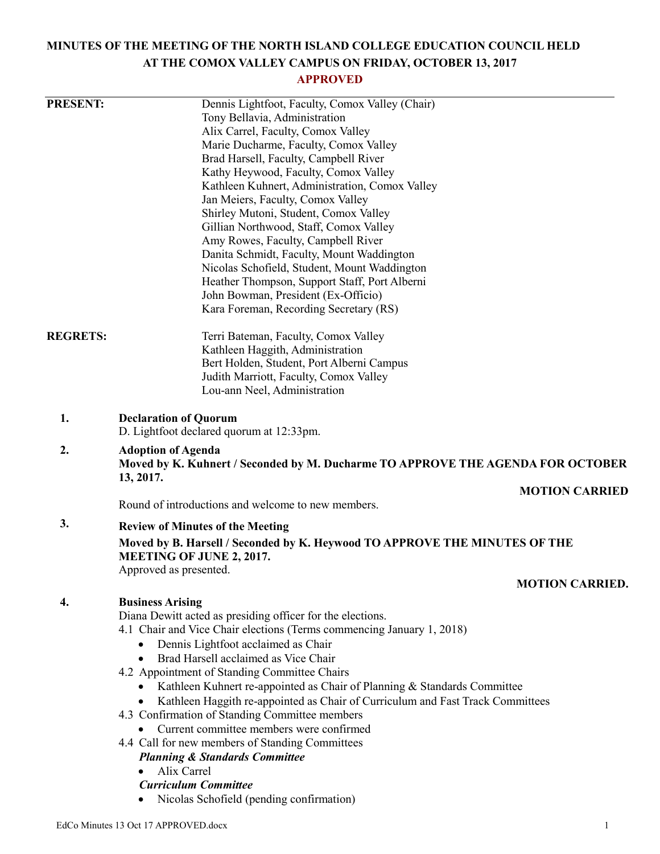# **MINUTES OF THE MEETING OF THE NORTH ISLAND COLLEGE EDUCATION COUNCIL HELD AT THE COMOX VALLEY CAMPUS ON FRIDAY, OCTOBER 13, 2017**

## **APPROVED**

| <b>PRESENT:</b> | Dennis Lightfoot, Faculty, Comox Valley (Chair)                                                                           |
|-----------------|---------------------------------------------------------------------------------------------------------------------------|
|                 | Tony Bellavia, Administration                                                                                             |
|                 | Alix Carrel, Faculty, Comox Valley                                                                                        |
|                 | Marie Ducharme, Faculty, Comox Valley<br>Brad Harsell, Faculty, Campbell River                                            |
|                 | Kathy Heywood, Faculty, Comox Valley                                                                                      |
|                 | Kathleen Kuhnert, Administration, Comox Valley                                                                            |
|                 | Jan Meiers, Faculty, Comox Valley                                                                                         |
|                 | Shirley Mutoni, Student, Comox Valley                                                                                     |
|                 | Gillian Northwood, Staff, Comox Valley                                                                                    |
|                 | Amy Rowes, Faculty, Campbell River                                                                                        |
|                 | Danita Schmidt, Faculty, Mount Waddington                                                                                 |
|                 | Nicolas Schofield, Student, Mount Waddington                                                                              |
|                 | Heather Thompson, Support Staff, Port Alberni                                                                             |
|                 | John Bowman, President (Ex-Officio)                                                                                       |
|                 | Kara Foreman, Recording Secretary (RS)                                                                                    |
| <b>REGRETS:</b> | Terri Bateman, Faculty, Comox Valley                                                                                      |
|                 | Kathleen Haggith, Administration                                                                                          |
|                 | Bert Holden, Student, Port Alberni Campus                                                                                 |
|                 | Judith Marriott, Faculty, Comox Valley                                                                                    |
|                 | Lou-ann Neel, Administration                                                                                              |
| 1.              | <b>Declaration of Quorum</b><br>D. Lightfoot declared quorum at 12:33pm.                                                  |
| 2.              |                                                                                                                           |
|                 | <b>Adoption of Agenda</b><br>Moved by K. Kuhnert / Seconded by M. Ducharme TO APPROVE THE AGENDA FOR OCTOBER<br>13, 2017. |
|                 | <b>MOTION CARRIED</b>                                                                                                     |
|                 | Round of introductions and welcome to new members.                                                                        |
| 3.              | <b>Review of Minutes of the Meeting</b>                                                                                   |
|                 | Moved by B. Harsell / Seconded by K. Heywood TO APPROVE THE MINUTES OF THE<br><b>MEETING OF JUNE 2, 2017.</b>             |
|                 | Approved as presented.                                                                                                    |
|                 | <b>MOTION CARRIED.</b>                                                                                                    |
| 4.              | <b>Business Arising</b>                                                                                                   |
|                 | Diana Dewitt acted as presiding officer for the elections.                                                                |
|                 | 4.1 Chair and Vice Chair elections (Terms commencing January 1, 2018)                                                     |
|                 | Dennis Lightfoot acclaimed as Chair<br>$\bullet$                                                                          |
|                 | Brad Harsell acclaimed as Vice Chair                                                                                      |
|                 | 4.2 Appointment of Standing Committee Chairs<br>Kathleen Kuhnert re-appointed as Chair of Planning & Standards Committee  |
|                 | Kathleen Haggith re-appointed as Chair of Curriculum and Fast Track Committees                                            |
|                 | 4.3 Confirmation of Standing Committee members                                                                            |
|                 | Current committee members were confirmed                                                                                  |
|                 | 4.4 Call for new members of Standing Committees                                                                           |
|                 | <b>Planning &amp; Standards Committee</b>                                                                                 |
|                 | Alix Carrel<br>$\bullet$                                                                                                  |
|                 | <b>Curriculum Committee</b>                                                                                               |
|                 | Nicolas Schofield (pending confirmation)                                                                                  |
|                 |                                                                                                                           |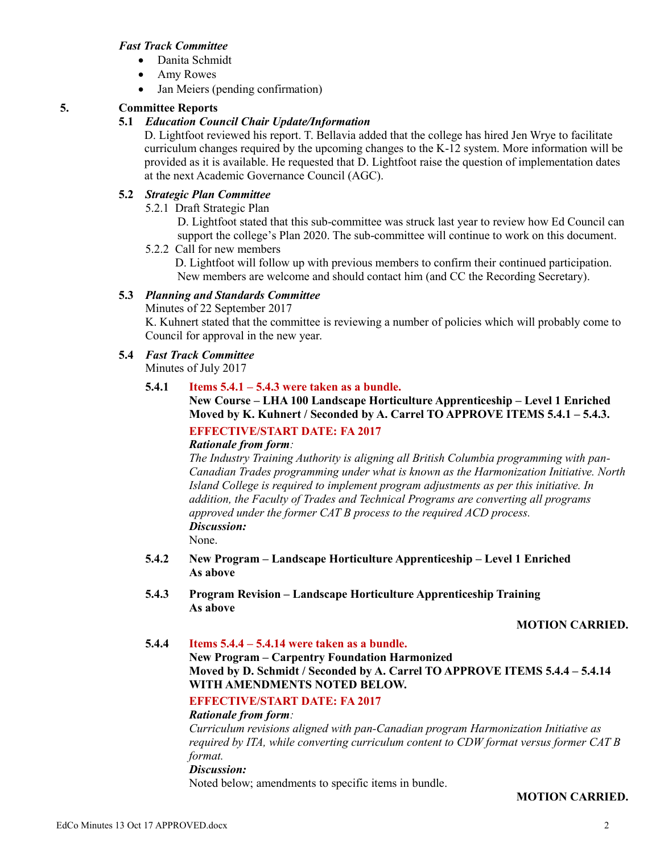#### *Fast Track Committee*

- Danita Schmidt
- Amy Rowes
- Jan Meiers (pending confirmation)

## **5. Committee Reports**

## **5.1** *Education Council Chair Update/Information*

D. Lightfoot reviewed his report. T. Bellavia added that the college has hired Jen Wrye to facilitate curriculum changes required by the upcoming changes to the K-12 system. More information will be provided as it is available. He requested that D. Lightfoot raise the question of implementation dates at the next Academic Governance Council (AGC).

## **5.2** *Strategic Plan Committee*

5.2.1 Draft Strategic Plan

D. Lightfoot stated that this sub-committee was struck last year to review how Ed Council can support the college's Plan 2020. The sub-committee will continue to work on this document.

5.2.2 Call for new members

D. Lightfoot will follow up with previous members to confirm their continued participation. New members are welcome and should contact him (and CC the Recording Secretary).

## **5.3** *Planning and Standards Committee*

Minutes of 22 September 2017

K. Kuhnert stated that the committee is reviewing a number of policies which will probably come to Council for approval in the new year.

## **5.4** *Fast Track Committee*

Minutes of July 2017

## **5.4.1 Items 5.4.1 – 5.4.3 were taken as a bundle.**

**New Course – LHA 100 Landscape Horticulture Apprenticeship – Level 1 Enriched Moved by K. Kuhnert / Seconded by A. Carrel TO APPROVE ITEMS 5.4.1 – 5.4.3.**

## **EFFECTIVE/START DATE: FA 2017**

## *Rationale from form:*

*The Industry Training Authority is aligning all British Columbia programming with pan-Canadian Trades programming under what is known as the Harmonization Initiative. North Island College is required to implement program adjustments as per this initiative. In addition, the Faculty of Trades and Technical Programs are converting all programs approved under the former CAT B process to the required ACD process. Discussion:*

None.

- **5.4.2 New Program – Landscape Horticulture Apprenticeship – Level 1 Enriched As above**
- **5.4.3 Program Revision – Landscape Horticulture Apprenticeship Training As above**

**MOTION CARRIED.**

**5.4.4 Items 5.4.4 – 5.4.14 were taken as a bundle. New Program – Carpentry Foundation Harmonized Moved by D. Schmidt / Seconded by A. Carrel TO APPROVE ITEMS 5.4.4 – 5.4.14 WITH AMENDMENTS NOTED BELOW.**

## **EFFECTIVE/START DATE: FA 2017**

#### *Rationale from form:*

*Curriculum revisions aligned with pan-Canadian program Harmonization Initiative as required by ITA, while converting curriculum content to CDW format versus former CAT B format.*

#### *Discussion:*

Noted below; amendments to specific items in bundle.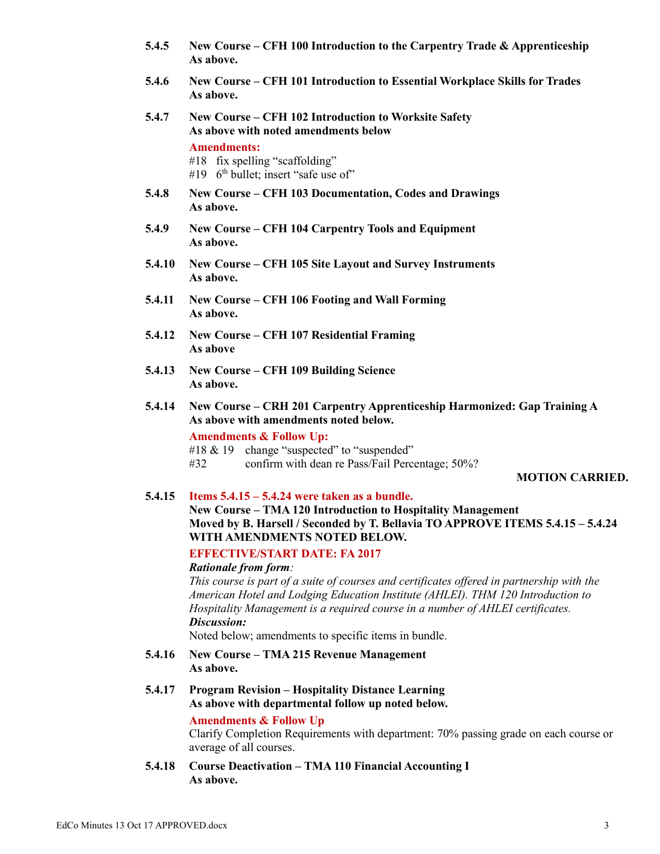- **5.4.5 New Course – CFH 100 Introduction to the Carpentry Trade & Apprenticeship As above.**
- **5.4.6 New Course – CFH 101 Introduction to Essential Workplace Skills for Trades As above.**
- **5.4.7 New Course – CFH 102 Introduction to Worksite Safety As above with noted amendments below Amendments:**
	- #18 fix spelling "scaffolding"
	- #19 6<sup>th</sup> bullet; insert "safe use of"
- **5.4.8 New Course – CFH 103 Documentation, Codes and Drawings As above.**
- **5.4.9 New Course – CFH 104 Carpentry Tools and Equipment As above.**
- **5.4.10 New Course – CFH 105 Site Layout and Survey Instruments As above.**
- **5.4.11 New Course – CFH 106 Footing and Wall Forming As above.**
- **5.4.12 New Course – CFH 107 Residential Framing As above**
- **5.4.13 New Course – CFH 109 Building Science As above.**
- **5.4.14 New Course – CRH 201 Carpentry Apprenticeship Harmonized: Gap Training A As above with amendments noted below.**

**Amendments & Follow Up:**

- #18 & 19 change "suspected" to "suspended"
- #32 confirm with dean re Pass/Fail Percentage; 50%?

## **MOTION CARRIED.**

## **5.4.15 Items 5.4.15 – 5.4.24 were taken as a bundle.**

**New Course – TMA 120 Introduction to Hospitality Management Moved by B. Harsell / Seconded by T. Bellavia TO APPROVE ITEMS 5.4.15 – 5.4.24 WITH AMENDMENTS NOTED BELOW.**

**EFFECTIVE/START DATE: FA 2017**

## *Rationale from form:*

*This course is part of a suite of courses and certificates offered in partnership with the American Hotel and Lodging Education Institute (AHLEI). THM 120 Introduction to Hospitality Management is a required course in a number of AHLEI certificates. Discussion:*

Noted below; amendments to specific items in bundle.

- **5.4.16 New Course – TMA 215 Revenue Management As above.**
- **5.4.17 Program Revision – Hospitality Distance Learning As above with departmental follow up noted below.**

#### **Amendments & Follow Up**

Clarify Completion Requirements with department: 70% passing grade on each course or average of all courses.

**5.4.18 Course Deactivation – TMA 110 Financial Accounting I As above.**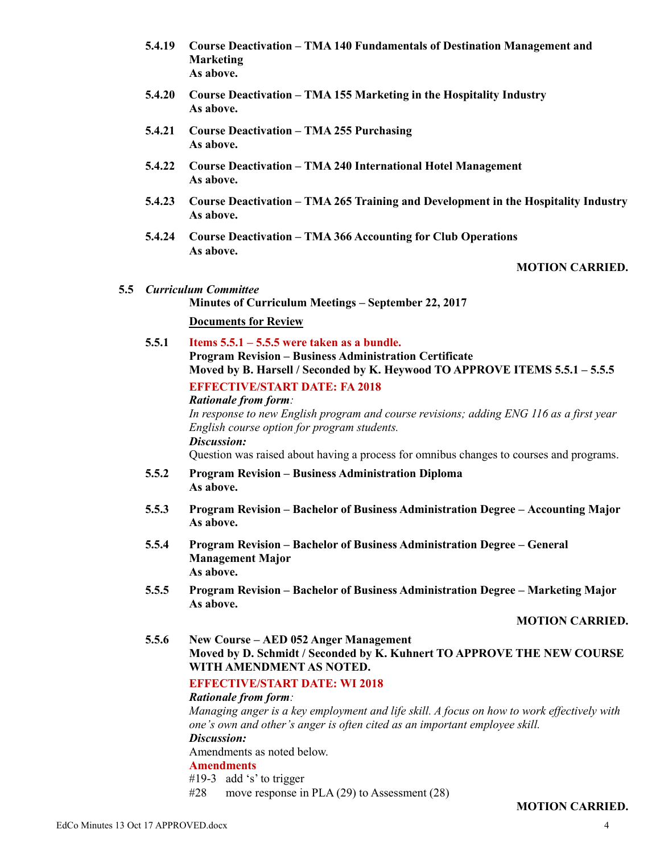- **5.4.19 Course Deactivation – TMA 140 Fundamentals of Destination Management and Marketing As above.**
- **5.4.20 Course Deactivation – TMA 155 Marketing in the Hospitality Industry As above.**
- **5.4.21 Course Deactivation – TMA 255 Purchasing As above.**
- **5.4.22 Course Deactivation – TMA 240 International Hotel Management As above.**
- **5.4.23 Course Deactivation – TMA 265 Training and Development in the Hospitality Industry As above.**
- **5.4.24 Course Deactivation – TMA 366 Accounting for Club Operations As above.**

## **MOTION CARRIED.**

#### **5.5** *Curriculum Committee*

**Minutes of Curriculum Meetings – September 22, 2017 Documents for Review**

**5.5.1 Items 5.5.1 – 5.5.5 were taken as a bundle. Program Revision – Business Administration Certificate Moved by B. Harsell / Seconded by K. Heywood TO APPROVE ITEMS 5.5.1 – 5.5.5 EFFECTIVE/START DATE: FA 2018**

#### *Rationale from form:*

In response to new English program and course revisions; adding ENG 116 as a first year *English course option for program students. Discussion:*

Question was raised about having a process for omnibus changes to courses and programs.

- **5.5.2 Program Revision – Business Administration Diploma As above.**
- **5.5.3 Program Revision – Bachelor of Business Administration Degree – Accounting Major As above.**
- **5.5.4 Program Revision – Bachelor of Business Administration Degree – General Management Major As above.**
- **5.5.5 Program Revision – Bachelor of Business Administration Degree – Marketing Major As above.**

**MOTION CARRIED.**

**5.5.6 New Course – AED 052 Anger Management Moved by D. Schmidt / Seconded by K. Kuhnert TO APPROVE THE NEW COURSE WITH AMENDMENT AS NOTED.**

## **EFFECTIVE/START DATE: WI 2018**

#### *Rationale from form:*

*Managing anger is a key employment and life skill. A focus on how to work effectively with one's own and other's anger is often cited as an important employee skill. Discussion:* Amendments as noted below. **Amendments** #19-3 add 's' to trigger

 $#28$  move response in PLA (29) to Assessment (28)

#### **MOTION CARRIED.**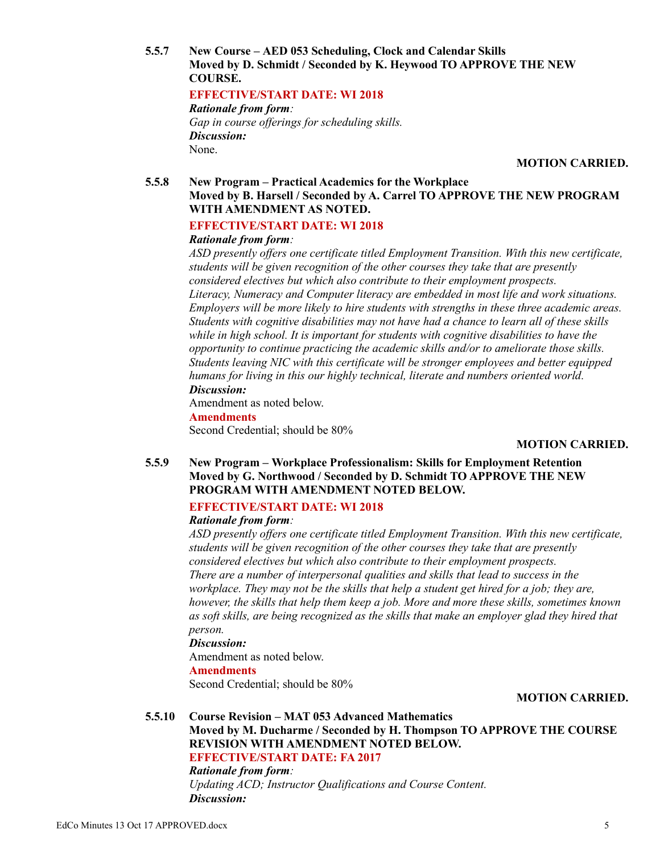**5.5.7 New Course – AED 053 Scheduling, Clock and Calendar Skills Moved by D. Schmidt / Seconded by K. Heywood TO APPROVE THE NEW COURSE.**

## **EFFECTIVE/START DATE: WI 2018**

*Rationale from form: Gap in course offerings for scheduling skills. Discussion:* None.

**MOTION CARRIED.**

#### **5.5.8 New Program – Practical Academics for the Workplace Moved by B. Harsell / Seconded by A. Carrel TO APPROVE THE NEW PROGRAM WITH AMENDMENT AS NOTED.**

## **EFFECTIVE/START DATE: WI 2018**

#### *Rationale from form:*

*ASD presently offers one certificate titled Employment Transition. With this new certificate, students will be given recognition of the other courses they take that are presently considered electives but which also contribute to their employment prospects. Literacy, Numeracy and Computer literacy are embedded in most life and work situations. Employers will be more likely to hire students with strengths in these three academic areas. Students with cognitive disabilities may not have had a chance to learn all of these skills while in high school. It is important for students with cognitive disabilities to have the opportunity to continue practicing the academic skills and/or to ameliorate those skills. Students leaving NIC with this certificate will be stronger employees and better equipped humans for living in this our highly technical, literate and numbers oriented world. Discussion:*

Amendment as noted below. **Amendments** Second Credential; should be 80%

#### **MOTION CARRIED.**

**5.5.9 New Program – Workplace Professionalism: Skills for Employment Retention Moved by G. Northwood / Seconded by D. Schmidt TO APPROVE THE NEW PROGRAM WITH AMENDMENT NOTED BELOW.**

## **EFFECTIVE/START DATE: WI 2018**

#### *Rationale from form:*

*ASD presently offers one certificate titled Employment Transition. With this new certificate, students will be given recognition of the other courses they take that are presently considered electives but which also contribute to their employment prospects. There are a number of interpersonal qualities and skills that lead to success in the workplace. They may not be the skills that help a student get hired for a job; they are, however, the skills that help them keep a job. More and more these skills, sometimes known*  as soft skills, are being recognized as the skills that make an employer glad they hired that *person.*

#### *Discussion:*

Amendment as noted below. **Amendments** Second Credential; should be 80%

#### **MOTION CARRIED.**

## **5.5.10 Course Revision – MAT 053 Advanced Mathematics**

**Moved by M. Ducharme / Seconded by H. Thompson TO APPROVE THE COURSE REVISION WITH AMENDMENT NOTED BELOW. EFFECTIVE/START DATE: FA 2017**

*Rationale from form: Updating ACD; Instructor Qualifications and Course Content. Discussion:*